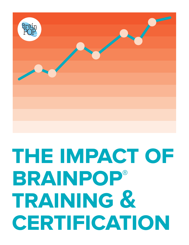

# **the impact of brainpop® training & certification**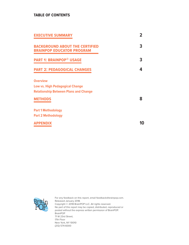# **table of contents**

| <b>EXECUTIVE SUMMARY</b>                                                                                  | 2 |
|-----------------------------------------------------------------------------------------------------------|---|
| <b>BACKGROUND ABOUT THE CERTIFIED</b><br><b>BRAINPOP EDUCATOR PROGRAM</b>                                 | 3 |
| <b>PART 1: BRAINPOP® USAGE</b>                                                                            | 3 |
| <b>PART 2: PEDAGOGICAL CHANGES</b>                                                                        | Д |
| <b>Overview</b><br><b>Low vs. High Pedagogical Change</b><br><b>Relationship Between Plans and Change</b> |   |
| <b>METHODS</b>                                                                                            | 8 |
| <b>Part 1 Methodology</b><br><b>Part 2 Methodology</b>                                                    |   |
| <b>APPENDIX</b>                                                                                           |   |



For any feedback on this report, email feedback@brainpop.com. Released January 2018. Copyright © 2018 BrainPOP LLC. All rights reserved. No part of this report may be copied, distributed, reproduced or posted without the express written permission of BrainPOP. BrainPOP 71 W 23rd Street, 17th Floor New York, NY 10010 (212) 574-6000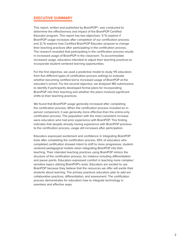## **executive summary**

This report, written and published by BrainPOP®, was conducted to determine the effectiveness and impact of the BrainPOP Certified Educator program. This report has two objectives: 1 ) To explore if BrainPOP usage increases after completion of our certification process; and 2) To explore how Certified BrainPOP Educator propose to change their teaching practices after participating in the certification process. The research revealed that participating in the certification process results in increased usage of BrainPOP in the classroom. To accommodate increased usage, educators intended to adjust their teaching practices to incorporate student-centered learning opportunities.

For the first objective, we used a predictive model to study 115 educators from five different types of certification process settings to evaluate whether becoming certified led to increased usage of BrainPOP at the educator's school. For the second objective, we analyzed 180 submissions to identify if participants developed formal plans for incorporating BrainPOP into their teaching and whether the plans involved significant shifts to their teaching practices.

We found that BrainPOP usage generally increased after completing the certification process. When the certification process included an inperson component, it was generally more effective than the online-only certification process. The population with the most consistent increase were educators who had prior experience with BrainPOP. This finding indicates that despite already having experience with BrainPOP previous to the certification process, usage still increases after participation.

Educators expressed excitement and confidence in integrating BrainPOP tools after completing the certification process. 65% of educators who completed certification showed intent to shift to more progressive, studentcentered pedagogical models when integrating BrainPOP into their teaching. Their intended teaching practices using BrainPOP mimics the structure of the certification process, for instance including differentiation and pause points. Educators expressed comfort in teaching more complex/ sensitive topics utilizing BrainPOP's tools. Educators are excited to use BrainPOP because they believe that the resources we offer will excite their students about learning. The primary practices educators plan to add are collaborative practices, differentiation, and assessment. The certification process demonstrates for educators how to integrate technology in seamless and effective ways.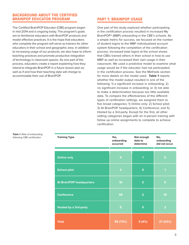# **background about the certified brainpop educator program**

The Certified BrainPOP Educator (CBE) program began in mid-2014 and is ongoing today. The program's goals are to familiarize educators with BrainPOP products and model effective practices. It is the hope that educators who complete the program will serve as trainers for other educators in their school and geographic area. In addition to increasing usage of our products, we also hope to inform teaching practices and promote productive integration of technology in classroom spaces. As one part of the process, educators create a report explaining how they intend to integrate BrainPOP in a future lesson plan as well as if and how their teaching style will change to accommodate their use of BrainPOP.

# **part 1: brainpop usage**

One part of the study explored whether participating in the certification process resulted in increased My BrainPOP® (MBP) onboarding in the CBE's schools. As a simple metric for success, we focused on the number of student logins to the MBP individualized account system following the completion of the certification process. Increased total logins at the school shows that CBEs trained others in their school in how to use MBP as well as increased their own usage in their classroom. We used a predictive model to examine what usage would be if the educator had not participated in the certification process. See the Methods section for more details on the model used. **Table 1** reports whether the model output resulted in one of the following: 1) a significant increase in onboarding; 2) no significant increase in onboarding; or 3 ) not able to make a determination because too little available data. To compare the effectiveness of the different types of certification settings, we assigned them to five broad categories: 1) Online only; 2) School pilot; 3 ) At BrainPOP headquarters; 4 ) Conference; and 5 ) Hosted by a 3rd-party. Except for the first, all other setting categories began with an in-person training with follow up online assignments to complete to achieve certification.

| <b>Training Type</b>            | Yes,<br>onboarding<br>occurred | Not enough<br>data to<br>determine | No,<br>onboarding<br>did not occur |  |
|---------------------------------|--------------------------------|------------------------------------|------------------------------------|--|
|                                 |                                |                                    |                                    |  |
| <b>Online only</b>              | 9                              | 1                                  | 5                                  |  |
| <b>School pilot</b>             | 4                              | $\mathbf{o}$                       | 1                                  |  |
| <b>At BrainPOP headquarters</b> | 16                             | $\overline{2}$                     | $\mathbf 0$                        |  |
| <b>Conference</b>               | 49                             | $\overline{2}$                     | 19                                 |  |
| <b>Hosted by a 3rd-party</b>    | 5                              | $\mathbf 0$                        | $\overline{2}$                     |  |
| <b>Total</b>                    | 85 (73%)                       | 5(4%)                              | 27 (23%)                           |  |

**Table 1.** Rate of onboarding following CBE certification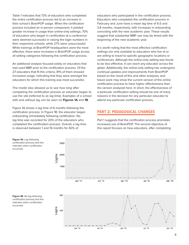Table 1 indicates that 73% of educators who completed the entire certification process led to an increase in their school's BrainPOP usage. When the certification process included an in-person component, it yielded greater increase in usage than online-only settings. 70% of educators who began in certification at a conference were deemed successful in raising the login numbers in their respective schools, while 27% were unsuccessful. While trainings at BrainPOP headquarters were the most effective, there were increases in BrainPOP usage across all setting categories following the certification process.

An additional analysis focused solely on educators that had used MBP prior to the certification process. Of the 27 educators that fit this criteria, 81% of them showed increased usage, indicating that they were amongst the educators for which this training was most successful.

The model also allowed us to see how long after completing the certification process an educator began to use the site (referred to as lag time). Examples of a school with and without lag can be seen on **Figures 1A** and **1B**.

Figure 1A shows a lag time of 6 months following the certification process. In Figure 1B, the educator began onboarding immediately following certification. No lag time was recorded for 20% of the educators who completed the certification process. Overall, a lag time is observed between 1 and 16 months for 60% of

educators who participated in the certification process. Educators who completed the certification process in February and June have a mean lag time of 6.5 and 3.8 months, respectively, with increases in onboarding coinciding with the new academic year. These results suggest that substantial MBP use may be timed with the beginning of the new academic year.

It is worth noting that the most effective certification settings are only available to educators who live at or are willing to travel to specific geographic locations or conferences. Although the online-only setting was found to be less effective, it can reach any educator across the globe. Additionally, the online-only setting has undergone continual updates and improvements from BrainPOP based on the result of this and other analyses, and future work may show the current version of the online certification process to have higher effectiveness than the version analyzed here. In short, the effectiveness of a particular certification setting should be one of many reasons in the decision for any particular educator to attend any particular certification process.

# **part 2: pedagogical changes**

Part 1 suggests that the certification process promotes increased use of BrainPOP. The second objective of this report focuses on how educators, after completing

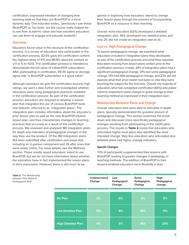certification, expressed intention of changing their teaching style so that they use BrainPOP in a more dynamic way. One educator writes, "previously I saw these [BrainPOP] as 'fun tools', but the course really helped me to see their academic value and how excellent educators can use them to engage and educate students."

## **Overview**

Educators found value in the structure of the certification process. In a survey of educators who participated in the certification process, 82.6% gave the certification content the highest rating of 5/5 and 99.9% rated the content as a 4 or 5 (n=420). The certification process is intended to demonstrate the full value of a BrainPOP subscription. After participating in certification, 99.3% agree or strongly agree that "a BrainPOP subscription is a good value".

Although educators do give the certification process high ratings, we went a step further and investigated whether educators were using pedagogical practices modeled in the certification process. As part of the certification process, educators are required to develop a lesson plan that integrates the use of various BrainPOP tools and features, referred to as "integration plans". The integration plan includes information about the educator's prior lesson plan as well as the new BrainPOP-infused lesson plan, and thus characterizes changes to teaching practices that occurred as a result of the certification process. We reviewed and analyzed 180 integration plans for depth and indication of pedagogical changes in the way they use the product. Of the 180 integration plans, 152 were submitted after certification processes that including an in-person component and 28 after ones that were solely online. For more details, see the Methods section. These results report educators' intent to use BrainPOP, but we do not have information about whether the educators have in fact implemented the lesson plans in their classrooms. However, there is still much to be

gained in exploring how educators intend to change their lesson plans through the process of incorporating BrainPOP as a resource in their teaching.

Overall, most educators (53%) developed a detailed integration plan. 45% developed non-detailed plans and only 2% did not create an integration plan at all.

## **Low vs. High Pedagogical Change**

To assess pedagogical change, we examined what educators included in integration plans they developed as part of the certification process and what they reported they were revising from lesson plans written prior to the certification process. In total, 34% of integration plans had a significant pedagogical change, 31% had some pedagogical change, 13% had little pedagogical change, and 22% did not express what their prior model had been or else they were teaching the subject for the first time. Overall, the majority of educators who had completed certification (65%) articulated intent to implement some change or great change to their teaching method as expressed in their integration plan.

## **Relationship Between Plans and Change**

Overall, educators who were able to articulate in-depth plans, typically demonstrated the greatest amount of pedagogical change. This section examines the break down and discusses more specifically pedagogical changes resulting from participating in the certification process. The results in **Table 2** reveal that educators who articulated higher level plans also identified the most intended change. Very few educators who articulated less detailed plans had higher change indicators.

#### **Specific Changes**

70% of participants supplemented their lessons with BrainPOP, leading to greater changes in pedagogy, or teaching methods. The addition of BrainPOP to their lessons enabled educators more flexibility in their

**Table 2.** The Relationship between Plan Detail & Pedagogical Shift

|                           | <b>Undetermined</b><br>Change | Low<br>Pedagogical<br>Change | <b>Some</b><br>Pedagogical<br>Change | High<br>Pedagogical<br>change |
|---------------------------|-------------------------------|------------------------------|--------------------------------------|-------------------------------|
|                           |                               |                              |                                      |                               |
| <b>No Plan</b>            | 2%                            | 0%                           | 0%                                   | 0%                            |
| <b>Low Detailed Plan</b>  | 11%                           | 8%                           | 16%                                  | 11%                           |
| <b>High Detailed Plan</b> | 9%                            | 5%                           | 16%                                  | 23%                           |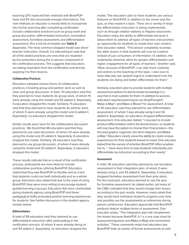teaching (21% replaced their methods with BrainPOP tools and 9% did not provide enough information). The new methods an educator is mostly likely to incorporate into his/her teaching after completing certification include collaborative practices such as group work and group discussion, differentiated instruction, summative assessment, formative assessment, and differentiated assessment. (For a full list of models see **Table 3**, Appendix). The most common dropped model was direct teacher instruction. Overall, it is interesting to note that all of the added practices are ones that are modeled by the presenters during the in-person component of the certification process. This suggests that educators are taking inspiration from the certification and directly applying it to their lessons.

#### **Collaborative Practices**

Educators adopted various forms of collaborative practices, including group and partner work as well as class and group discussion. In total, 70 educators said that they planned to have students do group work, of whom 15 were already using this model and 55 added it. Separately, 4 educators dropped this model. Similarly, 11 educators said that they planned to have students do partner work, of whom 5 were already using this model and 6 added it. Separately, no educators dropped this model.

Similar results were seen for the collaborative discussion practices. We found that 48 educators said that they planned to use class discussion, of whom 23 were already using this model and 25 added it. Separately, 8 educators dropped this model. Similarly, 29 educators said they planned to use group discussion, of whom 4 were already using this model and 25 added it. Separately, 2 educators dropped this model.

These results indicate that as a result of the certification process, participants are more likely to include collaborative practices utilizing BrainPOP. Educators stated that they saw BrainPOP as flexible and as a tool that students could use both individually and as a whole group. Educators also stated that due to the ease of using BrainPOP, they were more willing to encourage studentguided learning in groups. Educators felt more comfortable giving students agency using BrainPOP and these pedagogical shifts promoted positive learning experiences for students. See further discussion in the student agency section below.

#### **Differentiation**

A total of 58 educators said they planned to use differentiated instruction after participating in the certification process, of whom 4 were already doing so and 54 added it. Separately, no educators dropped this model. The educators plan to have students use various features on BrainPOP, in addition to the movie and the quiz, as they explore a topic. There are a variety of ways the differentiated instruction is being implemented, such as through rotation stations or flipped classrooms. Educators enjoy the ability to differentiate because it allows them to address all types of learners and provides an opportunity for students to create their own content. One educator stated, "This lesson completely revamps the older lesson in that students will now be creators instead of just consumers of information. In addition, the multimedia elements allow for greater differentiation and higher engagement for all types of learners." Another said, "Now, because of BrainPOP, I can add more creativity and actions to the teaching of this topic. I also love to have data (we use student login) to understand how the students are doing and better differentiate for them."

Similarly, educators plan to provide students with multiple assessment options to demonstrate knowledge in a way that is most suitable for them. In addition to quizzes, educators reported planning to use SnapThought®, Make-a-Map®, and Make-a-Movie® for assessment. A total of 35 educators said they planned to use differentiated assessment, of whom 1 was already using it and 34 added it. Separately, no educators dropped differentiated assessment. One educator stated, "I now plan to include product differentiation within the formal lesson, so students will now have the option to choose their final product—the focused graphic organizer, the Venn diagram, and Makea-Map." Educators clearly value the ability to create unique experiences for their students based on need. One educator stated that the variety of activities BrainPOP offers enables her to, "...have more time to help students individually and differentiate my instruction according to their needs."

#### **Assessment**

In total, 45 educators said they planned to use formative assessment in their integration plan, of whom 2 were already using it, and 43 added it. Separately, 2 educators dropped formative assessment from their prior plans. For the most part, educators planned to use the quiz for formative assessment. As stated earlier, not many of the CBEs indicated that they would change their lesson according to the quiz results. However, many noted that they would track individual student's progress over time and possibly use the assessments as references during parent conferences. Educators appreciate that BrainPOP products feature multiple forms of assessment. One educator writes, "This integration plan will complement the lesson because BrainPOP Jr.® is a one stop shop for assessment (quizzes and Make-a-Map) and enrichment activities." These comments imply that educators see BrainPOP both as means of formal assessments as well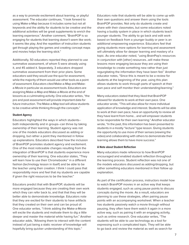as a way to promote excitement about learning, or playful assessment. The educator continues, "I look forward to using Make-a-Map because it includes some but not all keywords and the ability for students to be creative and the additional activities will be great supplements to enrich the learning experience." Another comment, "BrainPOP is so engaging for students that learning doesn't seem like work; it seems like play. And the repetition of instruction students get through playing the games and creating concept maps and movies helps the learning stick."

Additionally, 50 educators reported they planned to use summative assessment, of whom 5 were already using it, and 45 added it. Separately, 3 educators dropped summative assessment from their prior plans. Some educators said they would use the quiz for assessment, while the majority of them would use other tools as a point of assessment. Educators cited Make-a-Map and Makea-Movie in particular as assessment tools. Educators are assigning Make-a-Map and Make-a-Movie at the end of lessons as a culminating activity. One educator writes, "the pre and post assessment will provide important data for future instruction. The Make-a-Map tool will allow students to be creative while thinking through the concepts."

#### **Student Agency**

Educators highlighted the ways in which students- both independently and in groups--can thrive by taking ownership of their learning. Student agency was not one of the models educators discussed as adding or dropping, but rather a point they mentioned in follow up explanations. Educators described how the inclusion of BrainPOP promotes student agency and excitement. One of the most noticeable changes resulting from the integration of BrainPOP is that students experience more ownership of their learning. One educator states, "They will learn how to use their Chromebooks™ in a different fashion (technology lesson in itself) and be able to be the teacher using their creation. I think I could pass that responsibility more and feel that my students are capable if given the right resources to be the teacher."

Educators predict that with BrainPOP, students will be more engaged because they are creating their own work which they can refer back to, and that that they will be better able to demonstrate knowledge. Educators note that they are excited for their students to have artifacts that they created on their own and can be proud of. One educator writes, "I think adding the Make-a-Movie will excite the students and motivate them to dig a little deeper and master the material while having fun." Another educator adds, "Allowing them to interact with the content instead of just being a static receiver of knowledge will hopefully bring quicker understanding of this topic."

Educators note that students will be able to come up with their own questions and answer them using the tools BrainPOP provides. Not only do students create and share with their classmates, but some educators noted having a buddy system in place in which students teach younger students. The ability to go back and edit work based on feedback from a younger buddy or peer is an additional empowering experience. Educators feel that giving students more options for learning and assessment will ultimately allow for deeper learning and mastery of a topic. As one educator noted, "using BrainPop's resources in conjunction with [other] resources...will make these lessons more engaging because they are using their knowledge to create something new rather than just regurgitating the information they have been fed." Another educator notes, "Since this is meant to be a review for students at the beginning of the year, using this plan allows students to work through parts of speech at their own pace and self monitor their understanding/learning."

Many educators stated that they liked that BrainPOP allowed for students to work at their own pace. One educator wrote, "This will also allow for more individual application of knowledge and interest. Students will be able to work at their own pace, have an opportunity to review all they have learnt from home... and will empower students to be responsible for their own learning." Another educator wrote, "In the past, this information has been presented to students in a mostly "lecture" type lesson. Giving students the opportunity to use more of their senses (viewing the video) and collaborating with others to demonstrate their learning allows them to have more success."

#### **A Note about Student Reflection**

Many educators made reference to how BrainPOP encouraged and enabled student reflection throughout the learning process. Student reflection was not one of the models educators discussed as adding/dropping, but rather something educators mentioned in their follow up explanation.

As part of the certification process, instructors model how to watch BrainPOP movies in an active way that keeps students engaged, such as using pause points to discuss concepts during the movie. As a result, educators are planning to use these strategies, often pairing pause points with an accompanying worksheet. When a teacher has students passively watch a movie through without pausing, they often have them watch it again in a more active way, such as pairing it with an engaging activity, such as online research. One educator writes, "The students will be able to use technology as a tool for expressing such a complicated topic. They will be able to go back and review the material as well as search for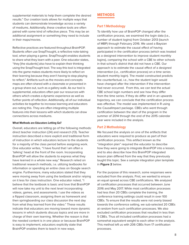supplemental materials to help them complete the desired results." Our creation tools allows for multiple ways that students can demonstrate knowledge across a variety of mediums. Additionally, these creative tools are often paired with some kind of reflective piece. This may be an additional assignment or something they need to include in their maps/movies.

Reflective practices are featured throughout BrainPOP. Students often use SnapThought, a reflective note-taking tool, when playing a game. SnapThought enables students to share what they learn with a peer. One educator states, "they [the students] also have to explain their thinking using the SnapThought tool. The way this tool is integrated into the game makes students more likely to reflect on their learning because they aren't having to stop playing to reflect." Artifacts such as the movies and concepts maps are often shared with a classmate or presented in a group share out, such as a gallery walk. As our tool is supplemental, educators often pair our resources with others which creates a dynamic experience as well as further points of reflection. Additionally, all of our individual activities tie together to increase learning and educators are noting this. They are often integrating multiple features into their lessons with which students can draw connections across mediums.

#### **What Methods are Educators Letting Go?**

Overall, educators are letting go of the following methods: direct teacher instruction ( 24 ) and research ( 13 ). Teacher instruction described a more explicit and traditional form of instruction in which educators lecture to the students for a majority of the class period before assigning work. One educator writes, "I have found that I am often a 'talking' head at the front of the room. Incorporating BrainPOP will allow the students to express what they have learned in a whole new way." Research relied on traditional research methods, i.e. utilizing textbooks for information or spending an entire class on Google search engine. Furthermore, many educators stated that they were moving away from using the textbook and/or relying on it less for class instruction. One educator noted, "I believe that the textbook is basic and love that BrainPOP will now take my unit to the next level incorporating videos, games, and assessments. I use the videos as a flipped classroom, assigning them as homework and then springboarding our class discussion the next day from what they learned from the video." These results indicate that educators are moving toward more dynamic lessons in which students discuss topics and are more in charge of their own learning. Whether the reason is that the needed content is in one place or because BrainPOP is easy to implement, educators explicitly state that BrainPOP enables them to teach in new ways.

# **methods**

## **Part 1 Methodology**

To identify how use of BrainPOP changed after the certification process, we examined the login data (i.e., number of student logins) from October 2013 (launch of MBP) through February 2016. We used a Baysian approach to estimate the causal effect of having participated in the certification process (which was treated as a designed intervention to improve student monthly logins), comparing the school with a CBE to other schools in that school's district that did not have a CBE. Our approach is to estimate the causal effect of a designed intervention (i.e., certification process) on a time series (student monthly login). The model constructed predicts the counterfactual, i.e., how the student login would have changed after the intervention if the intervention had never occurred. From this, we can test the actual CBE school login numbers and see how they differ from the time series. If they do differ and in an upwards trajectory, we can conclude that the certification process was effective. The model was implemented in R using the CausalImpact package. CBEs who went through certification between the start of the program in the summer of 2014 through the end of the 2015 calendar year were included in the analysis.

## **Part 2 Methodology**

We focused the analysis on one of the artifacts that educators were required to produce as part of their certification process. This artifact known as the "integration plan" required the educator to describe how they were going to integrate BrainPOP into a lesson, and to also describe how this BrainPOP integrated lesson plan differed from the way that they previously taught this topic. See a sample integration plan template in **Figure 2** below.

For the purpose of this research, some responses were excluded from the analysis. First, we wanted to ensure an equal spread across CBE certifications. We analyzed all certification processes that occurred between June 2016 and May 2017. While most certification processes had less than 20 CBEs complete the training, the conference training settings could result in over 100 CBEs. To ensure that the results were not overly biased towards the conference setting, we sub-selected 20 CBEs at random from such certification processes. We also excluded certification processes that resulted in less than 5 CBEs. Thus all included certification processes had a somewhat equivalent weight to each other in the analysis. This method left us with 206 CBEs from 17 certification processes.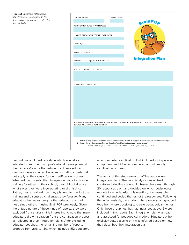**Figure 2.** A sample integration plan template. Responses to the final two questions were coded for this analysis



Second, we excluded reports in which educators intended to run their own professional development at their schools/teach other educators. These educator coaches were excluded because our rating criteria did not apply to their goals for our certification process. When educators submitted integration plans to provide training for others in their school, they did not discuss what styles they were incorporating or dismissing. Rather, they explained how they planned to conduct the training and discussed challenges they foresaw. Many educators had never taught other educators or had not trained others in using BrainPOP previously. Given the unique nature of these kinds of reports, they were excluded from analysis. It is interesting to note that many educators drew inspiration from the certification process as reflected in their integration plans. After excluding educator coaches, the remaining number of reports dropped from 206 to 180, which included 152 educators

who completed certification that included an in-person component and 28 who completed an online-only certification process.

The focus of this study were on offline and online integration plans. Thematic Analysis was utilized to create an inductive codebook. Researchers read through 20 responses each and decided on which pedagogical models to include. After this meeting, one researcher continued and coded the rest of the responses. Following the initial analysis, the models where once again grouped together (where possible) to create pedagogical themes. Only those groupings that had instances above 5 were included in this report. Each integration plan was read and assessed for pedagogical models. Educators either explicitly stated a style or it was inferred based on how they described their integration plan.